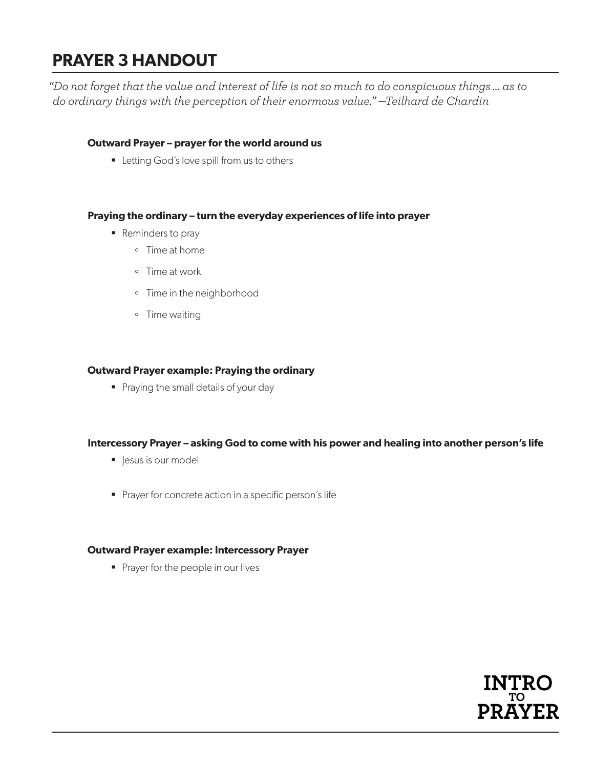# **PRAYER 3 HANDOUT**

*"Do not forget that the value and interest of life is not so much to do conspicuous things … as to do ordinary things with the perception of their enormous value." —Teilhard de Chardin*

### **Outward Prayer – prayer for the world around us**

**Letting God's love spill from us to others** 

### **Praying the ordinary – turn the everyday experiences of life into prayer**

- Reminders to pray
	- º Time at home
	- º Time at work
	- º Time in the neighborhood
	- º Time waiting

### **Outward Prayer example: Praying the ordinary**

Praying the small details of your day

### **Intercessory Prayer – asking God to come with his power and healing into another person's life**

- lesus is our model
- **Prayer for concrete action in a specific person's life**

#### **Outward Prayer example: Intercessory Prayer**

Prayer for the people in our lives

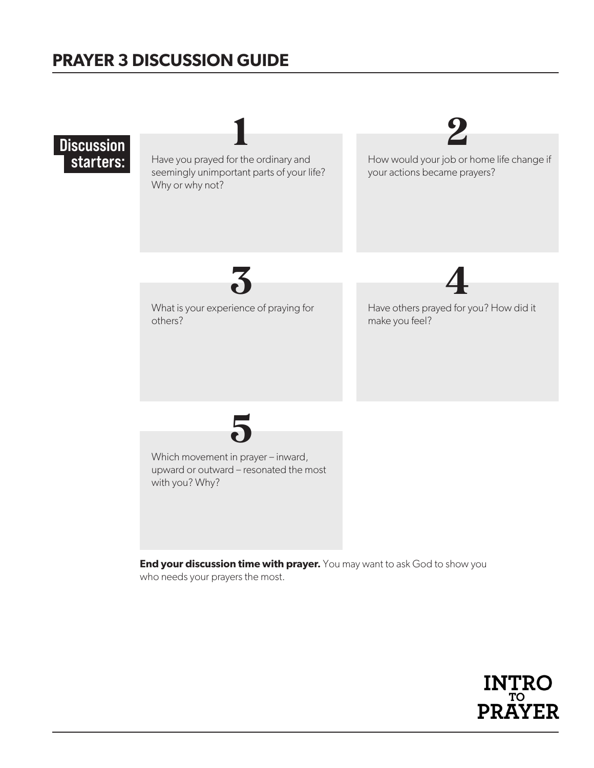# **PRAYER 3 DISCUSSION GUIDE**



who needs your prayers the most.